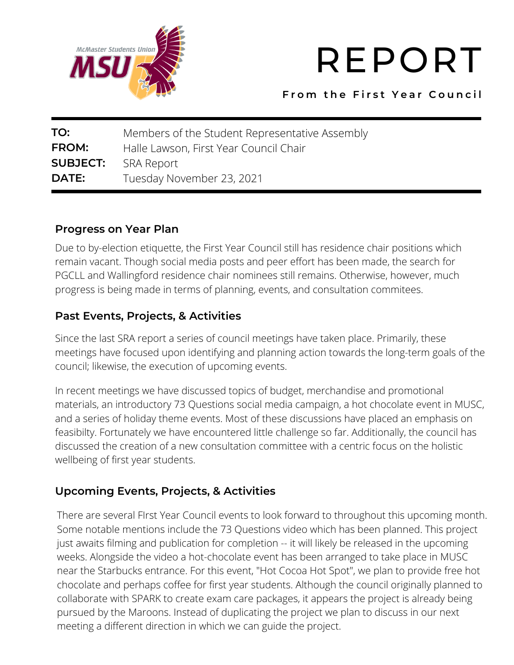

# REPORT

**F r o m t h e F i r s t Y e a r C o u n c i l**

| TO:             | Members of the Student Representative Assembly |
|-----------------|------------------------------------------------|
| FROM:           | Halle Lawson, First Year Council Chair         |
| <b>SUBJECT:</b> | SRA Report                                     |
| DATE:           | Tuesday November 23, 2021                      |

### **Progress on Year Plan**

Due to by-election etiquette, the First Year Council still has residence chair positions which remain vacant. Though social media posts and peer effort has been made, the search for PGCLL and Wallingford residence chair nominees still remains. Otherwise, however, much progress is being made in terms of planning, events, and consultation commitees.

# **Past Events, Projects, & Activities**

Since the last SRA report a series of council meetings have taken place. Primarily, these meetings have focused upon identifying and planning action towards the long-term goals of the council; likewise, the execution of upcoming events.

In recent meetings we have discussed topics of budget, merchandise and promotional materials, an introductory 73 Questions social media campaign, a hot chocolate event in MUSC, and a series of holiday theme events. Most of these discussions have placed an emphasis on feasibilty. Fortunately we have encountered little challenge so far. Additionally, the council has discussed the creation of a new consultation committee with a centric focus on the holistic wellbeing of first year students.

# **Upcoming Events, Projects, & Activities**

There are several FIrst Year Council events to look forward to throughout this upcoming month. Some notable mentions include the 73 Questions video which has been planned. This project just awaits filming and publication for completion -- it will likely be released in the upcoming weeks. Alongside the video a hot-chocolate event has been arranged to take place in MUSC near the Starbucks entrance. For this event, "Hot Cocoa Hot Spot", we plan to provide free hot chocolate and perhaps coffee for first year students. Although the council originally planned to collaborate with SPARK to create exam care packages, it appears the project is already being pursued by the Maroons. Instead of duplicating the project we plan to discuss in our next meeting a different direction in which we can guide the project.